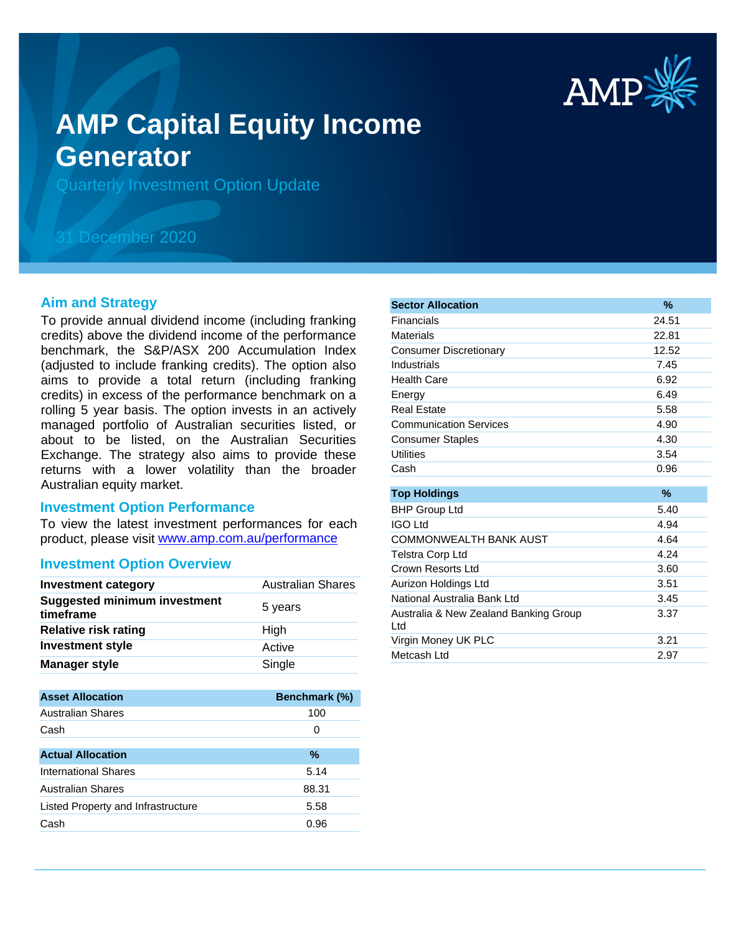

# **AMP Capital Equity Income Generator**

Quarterly Investment Option Update

## 31 December 2020

#### **Aim and Strategy**

To provide annual dividend income (including franking credits) above the dividend income of the performance benchmark, the S&P/ASX 200 Accumulation Index (adjusted to include franking credits). The option also aims to provide a total return (including franking credits) in excess of the performance benchmark on a rolling 5 year basis. The option invests in an actively managed portfolio of Australian securities listed, or about to be listed, on the Australian Securities Exchange. The strategy also aims to provide these returns with a lower volatility than the broader Australian equity market.

#### **Investment Option Performance**

product, please visit www.amp.com.au/performance To view the latest investment performances for each

#### **Investment Option Overview**

| <b>Investment category</b>                       | <b>Australian Shares</b> |
|--------------------------------------------------|--------------------------|
| <b>Suggested minimum investment</b><br>timeframe | 5 years                  |
| <b>Relative risk rating</b>                      | High                     |
| <b>Investment style</b>                          | Active                   |
| <b>Manager style</b>                             | Single                   |

| <b>Asset Allocation</b>            | <b>Benchmark (%)</b> |
|------------------------------------|----------------------|
| Australian Shares                  | 100                  |
| Cash                               | 0                    |
|                                    |                      |
| <b>Actual Allocation</b>           | $\%$                 |
| <b>International Shares</b>        | 5.14                 |
| Australian Shares                  | 88.31                |
| Listed Property and Infrastructure | 5.58                 |
| Cash                               | 0.96                 |

| <b>Sector Allocation</b>                     | $\%$  |
|----------------------------------------------|-------|
| Financials                                   | 24.51 |
| Materials                                    | 22.81 |
| <b>Consumer Discretionary</b>                | 12.52 |
| Industrials                                  | 7.45  |
| <b>Health Care</b>                           | 6.92  |
| Energy                                       | 6.49  |
| Real Estate                                  | 5.58  |
| <b>Communication Services</b>                | 4.90  |
| <b>Consumer Staples</b>                      | 4.30  |
| <b>Utilities</b>                             | 3.54  |
| Cash                                         | 0.96  |
|                                              |       |
| <b>Top Holdings</b>                          | $\%$  |
| <b>BHP Group Ltd</b>                         | 5.40  |
| <b>IGO Ltd</b>                               | 4.94  |
| <b>COMMONWEALTH BANK AUST</b>                | 4.64  |
| <b>Telstra Corp Ltd</b>                      | 4.24  |
| Crown Resorts Ltd                            | 3.60  |
| Aurizon Holdings Ltd                         | 3.51  |
| National Australia Bank Ltd                  | 3.45  |
| Australia & New Zealand Banking Group<br>Ltd | 3.37  |
| Virgin Money UK PLC                          | 3.21  |
| Metcash Ltd                                  | 2.97  |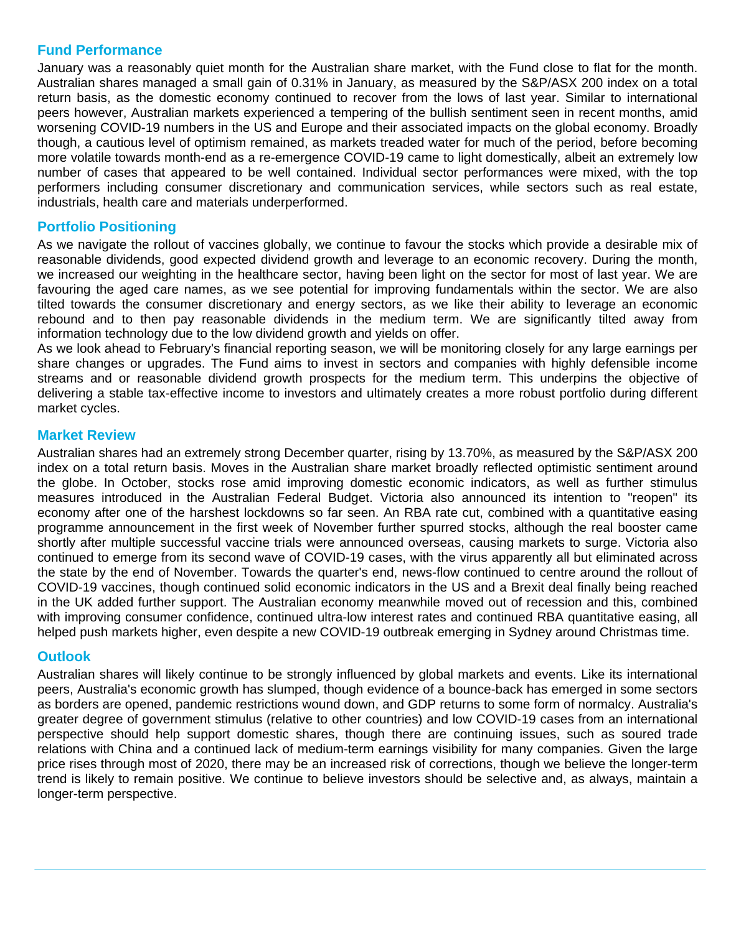#### **Fund Performance**

January was a reasonably quiet month for the Australian share market, with the Fund close to flat for the month. Australian shares managed a small gain of 0.31% in January, as measured by the S&P/ASX 200 index on a total return basis, as the domestic economy continued to recover from the lows of last year. Similar to international peers however, Australian markets experienced a tempering of the bullish sentiment seen in recent months, amid worsening COVID-19 numbers in the US and Europe and their associated impacts on the global economy. Broadly though, a cautious level of optimism remained, as markets treaded water for much of the period, before becoming more volatile towards month-end as a re-emergence COVID-19 came to light domestically, albeit an extremely low number of cases that appeared to be well contained. Individual sector performances were mixed, with the top performers including consumer discretionary and communication services, while sectors such as real estate, industrials, health care and materials underperformed.

### **Portfolio Positioning**

As we navigate the rollout of vaccines globally, we continue to favour the stocks which provide a desirable mix of reasonable dividends, good expected dividend growth and leverage to an economic recovery. During the month, we increased our weighting in the healthcare sector, having been light on the sector for most of last year. We are favouring the aged care names, as we see potential for improving fundamentals within the sector. We are also tilted towards the consumer discretionary and energy sectors, as we like their ability to leverage an economic rebound and to then pay reasonable dividends in the medium term. We are significantly tilted away from information technology due to the low dividend growth and yields on offer.

As we look ahead to February's financial reporting season, we will be monitoring closely for any large earnings per share changes or upgrades. The Fund aims to invest in sectors and companies with highly defensible income streams and or reasonable dividend growth prospects for the medium term. This underpins the objective of delivering a stable tax-effective income to investors and ultimately creates a more robust portfolio during different market cycles.

#### **Market Review**

Australian shares had an extremely strong December quarter, rising by 13.70%, as measured by the S&P/ASX 200 index on a total return basis. Moves in the Australian share market broadly reflected optimistic sentiment around the globe. In October, stocks rose amid improving domestic economic indicators, as well as further stimulus measures introduced in the Australian Federal Budget. Victoria also announced its intention to "reopen" its economy after one of the harshest lockdowns so far seen. An RBA rate cut, combined with a quantitative easing programme announcement in the first week of November further spurred stocks, although the real booster came shortly after multiple successful vaccine trials were announced overseas, causing markets to surge. Victoria also continued to emerge from its second wave of COVID-19 cases, with the virus apparently all but eliminated across the state by the end of November. Towards the quarter's end, news-flow continued to centre around the rollout of COVID-19 vaccines, though continued solid economic indicators in the US and a Brexit deal finally being reached in the UK added further support. The Australian economy meanwhile moved out of recession and this, combined with improving consumer confidence, continued ultra-low interest rates and continued RBA quantitative easing, all helped push markets higher, even despite a new COVID-19 outbreak emerging in Sydney around Christmas time.

#### **Outlook**

Australian shares will likely continue to be strongly influenced by global markets and events. Like its international peers, Australia's economic growth has slumped, though evidence of a bounce-back has emerged in some sectors as borders are opened, pandemic restrictions wound down, and GDP returns to some form of normalcy. Australia's greater degree of government stimulus (relative to other countries) and low COVID-19 cases from an international perspective should help support domestic shares, though there are continuing issues, such as soured trade relations with China and a continued lack of medium-term earnings visibility for many companies. Given the large price rises through most of 2020, there may be an increased risk of corrections, though we believe the longer-term trend is likely to remain positive. We continue to believe investors should be selective and, as always, maintain a longer-term perspective.